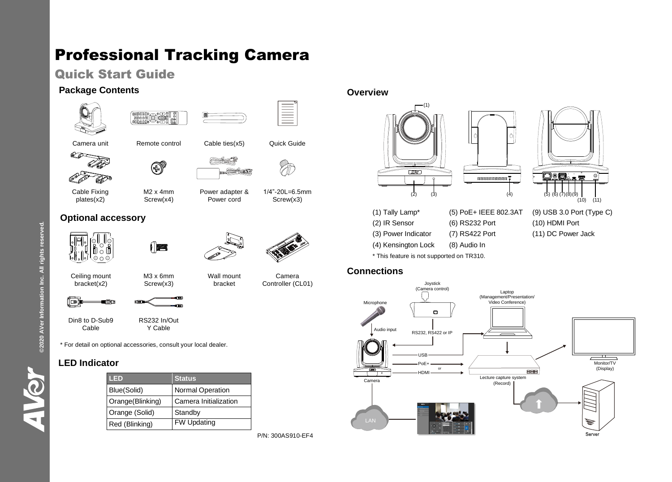# Professional Tracking Camera

# Quick Start Guide

### **Package Contents**





 $\mathbb{Z}$ 



Cable Fixing plates(x2)

M2 x 4mm Screw(x4)

的



Power adapter & Power cord

> Wall mount bracket

1/4"-20L=6.5mm Screw(x3)

# **Optional accessory**



ਿ™



Camera Controller (CL01)

Ceiling mount bracket(x2)





M3 x 6mm Screw(x3)





Din8 to D-Sub9 Cable RS232 In/Out Y Cable

\* For detail on optional accessories, consult your local dealer.

## **LED Indicator**

| LED              | <b>Status</b>           |
|------------------|-------------------------|
| Blue(Solid)      | <b>Normal Operation</b> |
| Orange(Blinking) | Camera Initialization   |
| Orange (Solid)   | Standby                 |
| Red (Blinking)   | <b>FW Updating</b>      |

P/N: 300AS910-EF4

### **Overview**





(1) Tally Lamp\* (5) PoE+ IEEE 802.3AT (9) USB 3.0 Port (Type C) (2) IR Sensor (6) RS232 Port (10) HDMI Port (3) Power Indicator (7) RS422 Port (11) DC Power Jack (4) Kensington Lock (8) Audio In \* This feature is not supported on TR310.

### **Connections**



©2020 AVer Information Inc. All rights reserved. **©2020 AVer Information Inc. All rights reserved.**

HVSV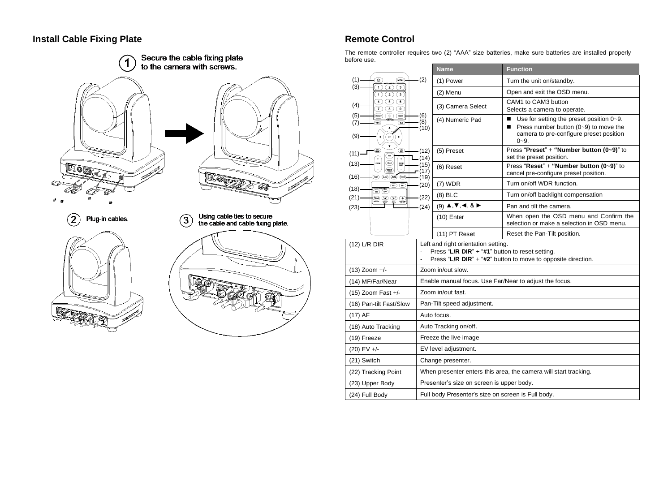### **Install Cable Fixing Plate Remote Control**



The remote controller requires two (2) "AAA" size batteries, make sure batteries are installed properly before use.

|                                                                                                                                                                        |                                                                                                                                                        | <b>Name</b>                                                                           | <b>Function</b>                                                                                                                                           |
|------------------------------------------------------------------------------------------------------------------------------------------------------------------------|--------------------------------------------------------------------------------------------------------------------------------------------------------|---------------------------------------------------------------------------------------|-----------------------------------------------------------------------------------------------------------------------------------------------------------|
| (1)<br>(MENU<br>$\bullet$                                                                                                                                              | (2)                                                                                                                                                    | (1) Power                                                                             | Turn the unit on/standby.                                                                                                                                 |
| (3)<br>T)<br>$\bigcirc$<br>$\sqrt{3}$<br>$\circ$<br>1)<br>(3)                                                                                                          |                                                                                                                                                        | (2) Menu                                                                              | Open and exit the OSD menu.                                                                                                                               |
| $\overline{4}$ (5)<br>$\sqrt{6}$<br>(4)<br>$\overline{\tau}$<br>◉<br>$\overline{\mathcal{F}}$                                                                          |                                                                                                                                                        | (3) Camera Select                                                                     | CAM1 to CAM3 button<br>Selects a camera to operate.                                                                                                       |
| (5)<br>⊙<br>(RESET)<br>meser)<br>(7)<br>(ac)<br>(9)<br>$\ddot{\phantom{0}}$                                                                                            | (6)<br>(8)<br>(10)                                                                                                                                     | (4) Numeric Pad                                                                       | п<br>Use for setting the preset position $0 - 9$ .<br>Press number button $(0-9)$ to move the<br>п<br>camera to pre-configure preset position<br>$0 - 9.$ |
| (₩)<br>$\begin{pmatrix} 1 & 0 \\ 0 & 1 \end{pmatrix}$<br>$(11)$ —                                                                                                      | (12)<br>(14)                                                                                                                                           | (5) Preset                                                                            | Press "Preset" + "Number button (0~9)" to<br>set the preset position.                                                                                     |
| <b>NEAR</b><br>$(13) -$<br>zoce<br>ZOOM<br>FAST<br><b>WANTER</b><br>$\overline{(\overline{m})}$ (i.e.) $\overline{(\overline{m})}$ $\overline{(\overline{m})}$<br>(16) | (15)<br>(17)<br>(19)                                                                                                                                   | (6) Reset                                                                             | Press "Reset" + "Number button (0~9)" to<br>cancel pre-configure preset position.                                                                         |
| $\textcircled{\tiny{w}}$<br>$(18) -$                                                                                                                                   | (20)                                                                                                                                                   | $(7)$ WDR                                                                             | Turn on/off WDR function.                                                                                                                                 |
| wito tracking<br>(an) (an)<br>(21)<br>$\bigoplus_{n=0}^\infty\bigoplus_{n\geq 0}\bigoplus_{n\geq 0}\bigoplus_{n\geq 0}$                                                | (22)                                                                                                                                                   | $(8)$ BLC                                                                             | Turn on/off backlight compensation                                                                                                                        |
| $(23)$ -                                                                                                                                                               | (24)                                                                                                                                                   | $(9)$ $\blacktriangle$ , $\nabla$ , $\blacktriangleleft$ , $\&$ $\blacktriangleright$ | Pan and tilt the camera.                                                                                                                                  |
|                                                                                                                                                                        |                                                                                                                                                        | $(10)$ Enter                                                                          | When open the OSD menu and Confirm the<br>selection or make a selection in OSD menu.                                                                      |
|                                                                                                                                                                        |                                                                                                                                                        | $(11)$ PT Reset                                                                       | Reset the Pan-Tilt position.                                                                                                                              |
| $(12)$ L/R DIR                                                                                                                                                         | Left and right orientation setting.<br>Press "L/R DIR" + "#1" button to reset setting.<br>Press "L/R DIR" + "#2" button to move to opposite direction. |                                                                                       |                                                                                                                                                           |
| $(13)$ Zoom +/-                                                                                                                                                        | Zoom in/out slow.                                                                                                                                      |                                                                                       |                                                                                                                                                           |
| (14) MF/Far/Near                                                                                                                                                       | Enable manual focus. Use Far/Near to adjust the focus.                                                                                                 |                                                                                       |                                                                                                                                                           |
| $(15)$ Zoom Fast +/-                                                                                                                                                   | Zoom in/out fast.                                                                                                                                      |                                                                                       |                                                                                                                                                           |
| (16) Pan-tilt Fast/Slow                                                                                                                                                | Pan-Tilt speed adjustment.                                                                                                                             |                                                                                       |                                                                                                                                                           |
| $(17)$ AF                                                                                                                                                              | Auto focus.                                                                                                                                            |                                                                                       |                                                                                                                                                           |
| (18) Auto Tracking                                                                                                                                                     | Auto Tracking on/off.                                                                                                                                  |                                                                                       |                                                                                                                                                           |
| (19) Freeze                                                                                                                                                            | Freeze the live image                                                                                                                                  |                                                                                       |                                                                                                                                                           |
| $(20)$ EV +/-                                                                                                                                                          | EV level adjustment.                                                                                                                                   |                                                                                       |                                                                                                                                                           |
| (21) Switch                                                                                                                                                            | Change presenter.                                                                                                                                      |                                                                                       |                                                                                                                                                           |
| (22) Tracking Point                                                                                                                                                    | When presenter enters this area, the camera will start tracking.                                                                                       |                                                                                       |                                                                                                                                                           |
| (23) Upper Body                                                                                                                                                        | Presenter's size on screen is upper body.                                                                                                              |                                                                                       |                                                                                                                                                           |
| (24) Full Body                                                                                                                                                         | Full body Presenter's size on screen is Full body.                                                                                                     |                                                                                       |                                                                                                                                                           |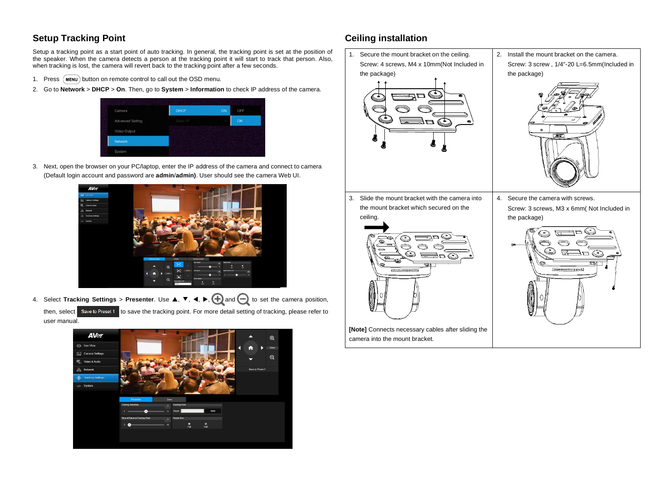### **Setup Tracking Point**

Setup a tracking point as a start point of auto tracking. In general, the tracking point is set at the position of the speaker. When the camera detects a person at the tracking point it will start to track that person. Also, when tracking is lost, the camera will revert back to the tracking point after a few seconds.

- 1. Press (MENU) button on remote control to call out the OSD menu.
- 2. Go to **Network** > **DHCP** > **On**. Then, go to **System** > **Information** to check IP address of the camera.



3. Next, open the browser on your PC/laptop, enter the IP address of the camera and connect to camera (Default login account and password are **admin**/**admin)**. User should see the camera Web UI.



4. Select **Tracking Settings** > Presenter. Use **A**, ▼, ◀, ▶, <mark>←</mark> and ● to set the camera position,

then, select Save to Preset 1 to save the tracking point. For more detail setting of tracking, please refer to user manual.



## **Ceiling installation**

- 1. Secure the mount bracket on the ceiling. Screw: 4 screws, M4 x 10mm(Not Included in the package)
- 2. Install the mount bracket on the camera. Screw: 3 screw , 1/4"-20 L=6.5mm(Included in the package)



3. Slide the mount bracket with the camera into the mount bracket which secured on the



**[Note]** Connects necessary cables after sliding the camera into the mount bracket.

Screw: 3 screws, M3 x 6mm( Not Included in the package)